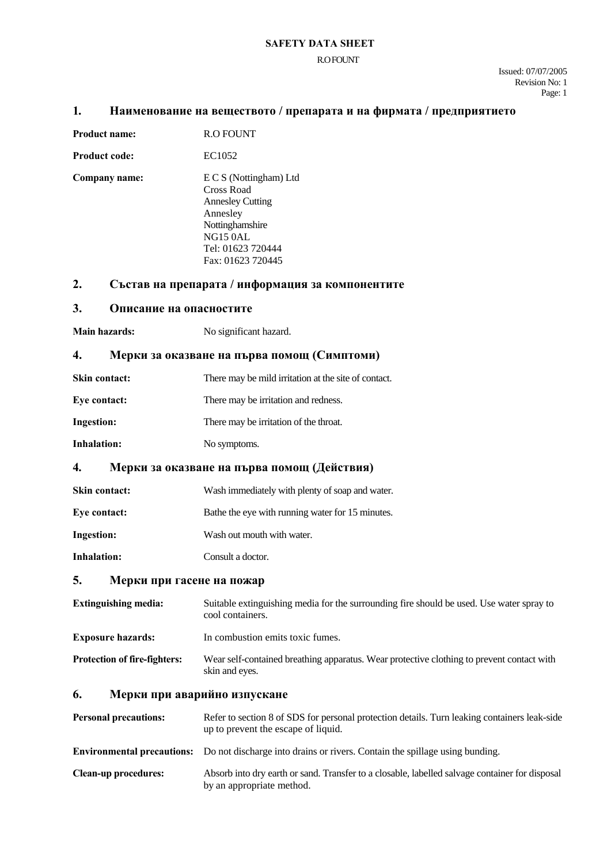#### **SAFETY DATA SHEET**

#### R.O FOUNT

Issued: 07/07/2005 Revision No: 1 Page: 1

### **1. Наименование на веществото / препарата и на фирмата / предприятието**

| <b>Product name:</b> | <b>R.O FOUNT</b>                                                                                                                                            |
|----------------------|-------------------------------------------------------------------------------------------------------------------------------------------------------------|
| <b>Product code:</b> | EC1052                                                                                                                                                      |
| Company name:        | E C S (Nottingham) Ltd<br>Cross Road<br><b>Annesley Cutting</b><br>Annesley<br>Nottinghamshire<br><b>NG15 0AL</b><br>Tel: 01623 720444<br>Fax: 01623 720445 |

# **2. Състав на препарата / информация за компонентите**

### **3. Описание на опасностите**

**Main hazards:** No significant hazard.

#### **4. Мерки за оказване на първа помощ (Симптоми)**

- **Skin contact:** There may be mild irritation at the site of contact.
- Eve contact: There may be irritation and redness.
- **Ingestion:** There may be irritation of the throat.
- **Inhalation:** No symptoms.

### **4. Мерки за оказване на първа помощ (Действия)**

- **Skin contact:** Wash immediately with plenty of soap and water.
- **Eye contact:** Bathe the eye with running water for 15 minutes.
- **Ingestion:** Wash out mouth with water.
- **Inhalation:** Consult a doctor.

# **5. Мерки при гасене на пожар**

| Extinguishing media:                | Suitable extinguishing media for the surrounding fire should be used. Use water spray to<br>cool containers. |
|-------------------------------------|--------------------------------------------------------------------------------------------------------------|
| <b>Exposure hazards:</b>            | In combustion emits toxic fumes.                                                                             |
| <b>Protection of fire-fighters:</b> | Wear self-contained breathing apparatus. Wear protective clothing to prevent contact with<br>skin and eyes.  |

### **6. Мерки при аварийно изпускане**

| <b>Personal precautions:</b> | Refer to section 8 of SDS for personal protection details. Turn leaking containers leak-side<br>up to prevent the escape of liquid. |
|------------------------------|-------------------------------------------------------------------------------------------------------------------------------------|
|                              | <b>Environmental precautions:</b> Do not discharge into drains or rivers. Contain the spillage using bunding.                       |
| <b>Clean-up procedures:</b>  | Absorb into dry earth or sand. Transfer to a closable, labelled salvage container for disposal<br>by an appropriate method.         |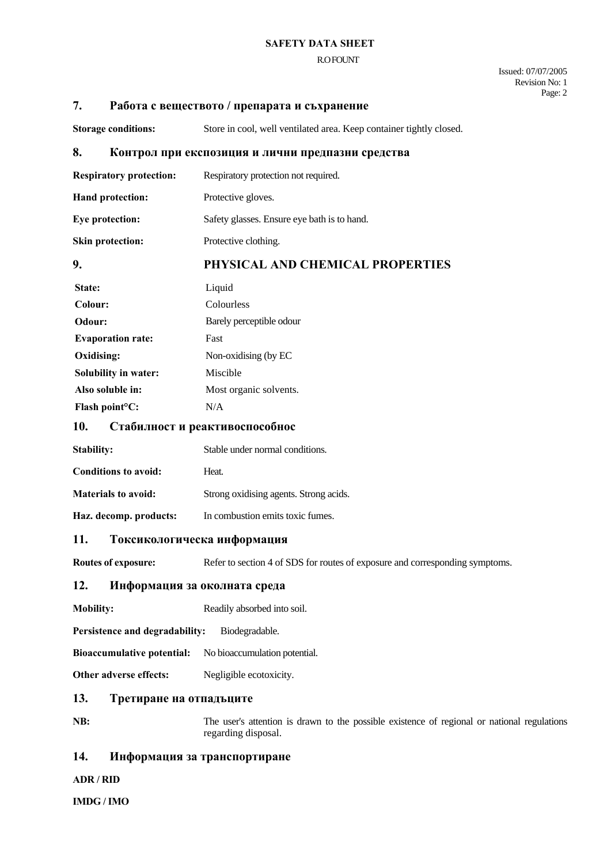#### **SAFETY DATA SHEET**

#### R.O FOUNT

Issued: 07/07/2005 Revision No: 1 Page: 2

### **7. Работа с веществото / препарата и съхранение**

Storage conditions: Store in cool, well ventilated area. Keep container tightly closed.

### **8. Контрол при експозиция и лични предпазни средства**

**Respiratory protection:** Respiratory protection not required.

**Hand protection:** Protective gloves.

**Eye protection:** Safety glasses. Ensure eye bath is to hand.

**Skin protection:** Protective clothing.

# **9. PHYSICAL AND CHEMICAL PROPERTIES**

| State:                      | Liquid                   |
|-----------------------------|--------------------------|
| Colour:                     | Colourless               |
| Odour:                      | Barely perceptible odour |
| <b>Evaporation rate:</b>    | Fast                     |
| Oxidising:                  | Non-oxidising (by EC     |
| Solubility in water:        | Miscible                 |
| Also soluble in:            | Most organic solvents.   |
| Flash point <sup>o</sup> C: | N/A                      |

### **10. Стабилност и реактивоспособнос**

| Stability:                 | Stable under normal conditions.        |
|----------------------------|----------------------------------------|
| Conditions to avoid:       | Heat.                                  |
| <b>Materials to avoid:</b> | Strong oxidising agents. Strong acids. |
| Haz. decomp. products:     | In combustion emits toxic fumes.       |

#### **11. Токсикологическа информация**

**Routes of exposure:** Refer to section 4 of SDS for routes of exposure and corresponding symptoms.

# **12. Информация за околната среда**

**Mobility:** Readily absorbed into soil.

**Persistence and degradability:** Biodegradable.

**Bioaccumulative potential:** No bioaccumulation potential.

**Other adverse effects:** Negligible ecotoxicity.

# **13. Третиране на отпадъците**

**NB:** The user's attention is drawn to the possible existence of regional or national regulations regarding disposal.

# **14. Информация за транспортиране**

**ADR / RID**

**IMDG / IMO**